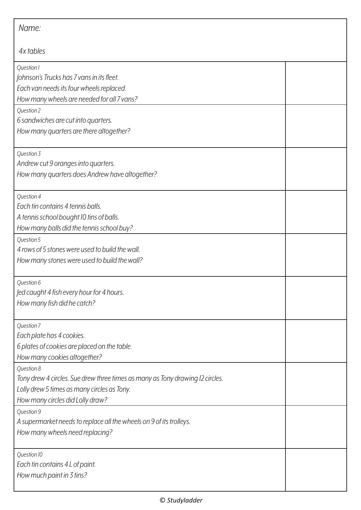| Name:                                                                                                                                                                          |  |  |
|--------------------------------------------------------------------------------------------------------------------------------------------------------------------------------|--|--|
| 4x tables                                                                                                                                                                      |  |  |
| Question 1<br>Johnson's Trucks has 7 vans in its fleet.<br>Each van needs its four wheels replaced.<br>How many wheels are needed for all 7 vans?                              |  |  |
| Question 2<br>6 sandwiches are cut into quarters.<br>How many quarters are there altogether?                                                                                   |  |  |
| Question 3<br>Andrew cut 9 oranges into quarters.<br>How many quarters does Andrew have altogether?                                                                            |  |  |
| Question 4<br>Each tin contains 4 tennis balls.<br>A tennis school bought 10 tins of balls.<br>How many balls did the tennis school buy?                                       |  |  |
| Question 5<br>4 rows of 5 stones were used to build the wall.<br>How many stones were used to build the wall?                                                                  |  |  |
| Question 6<br>Jed caught 4 fish every hour for 4 hours.<br>How many fish did he catch?                                                                                         |  |  |
| Question 7<br>Each plate has 4 cookies.<br>6 plates of cookies are placed on the table.<br>How many cookies altogether?                                                        |  |  |
| Question 8<br>Tony drew 4 circles. Sue drew three times as many as Tony drawing 12 circles.<br>Lolly drew 5 times as many circles as Tony.<br>How many circles did Lolly draw? |  |  |
| Question 9<br>A supermarket needs to replace all the wheels on 9 of its trolleys.<br>How many wheels need replacing?                                                           |  |  |
| Question 10<br>Each tin contains 4 L of paint.<br>How much paint in 3 tins?                                                                                                    |  |  |